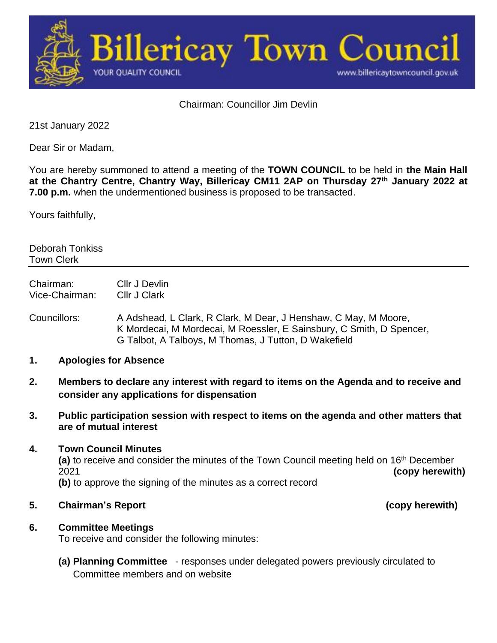

Chairman: Councillor Jim Devlin

21st January 2022

Dear Sir or Madam,

You are hereby summoned to attend a meeting of the **TOWN COUNCIL** to be held in **the Main Hall at the Chantry Centre, Chantry Way, Billericay CM11 2AP on Thursday 27th January 2022 at 7.00 p.m.** when the undermentioned business is proposed to be transacted.

Yours faithfully,

Deborah Tonkiss Town Clerk

Chairman: Cllr J Devlin Vice-Chairman: Cllr J Clark

Councillors: A Adshead, L Clark, R Clark, M Dear, J Henshaw, C May, M Moore, K Mordecai, M Mordecai, M Roessler, E Sainsbury, C Smith, D Spencer, G Talbot, A Talboys, M Thomas, J Tutton, D Wakefield

- **1. Apologies for Absence**
- **2. Members to declare any interest with regard to items on the Agenda and to receive and consider any applications for dispensation**
- **3. Public participation session with respect to items on the agenda and other matters that are of mutual interest**

#### **4. Town Council Minutes**

(a) to receive and consider the minutes of the Town Council meeting held on 16<sup>th</sup> December 2021 **(copy herewith) (b)** to approve the signing of the minutes as a correct record

**5. Chairman's Report (copy herewith)**

# **6. Committee Meetings**

To receive and consider the following minutes:

**(a) Planning Committee** - responses under delegated powers previously circulated to Committee members and on website